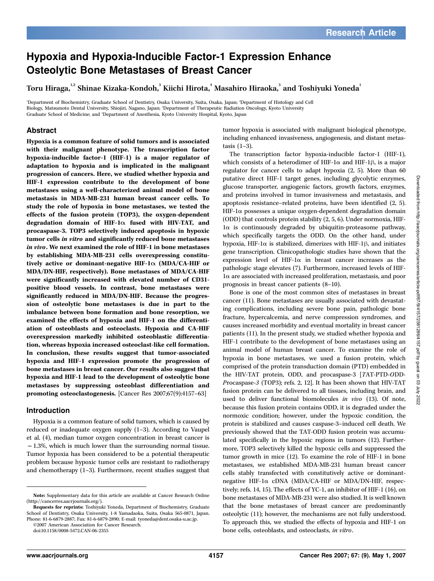# Hypoxia and Hypoxia-Inducible Factor-1 Expression Enhance Osteolytic Bone Metastases of Breast Cancer

Toru Hiraga, $^{\text{!2}}$  Shinae Kizaka-Kondoh, $^{\text{3}}$  Kiichi Hirota, $^{\text{4}}$  Masahiro Hiraoka, $^{\text{3}}$  and Toshiyuki Yoneda $^{\text{1}}$ 

1 Department of Biochemistry, Graduate School of Dentistry, Osaka University, Suita, Osaka, Japan; <sup>2</sup> Department of Histology and Cell Biology, Matsumoto Dental University, Shiojiri, Nagano, Japan; <sup>3</sup> Department of Therapeutic Radiation Oncology, Kyoto University Graduate School of Medicine; and <sup>4</sup> Department of Anesthesia, Kyoto University Hospital, Kyoto, Japan

# Abstract

Hypoxia is a common feature of solid tumors and is associated with their malignant phenotype. The transcription factor hypoxia-inducible factor-1 (HIF-1) is a major regulator of adaptation to hypoxia and is implicated in the malignant progression of cancers. Here, we studied whether hypoxia and HIF-1 expression contribute to the development of bone metastases using a well-characterized animal model of bone metastasis in MDA-MB-231 human breast cancer cells. To study the role of hypoxia in bone metastases, we tested the effects of the fusion protein (TOP3), the oxygen-dependent degradation domain of HIF-1 $\alpha$  fused with HIV-TAT, and procaspase-3. TOP3 selectively induced apoptosis in hypoxic tumor cells in vitro and significantly reduced bone metastases in vivo. We next examined the role of HIF-1 in bone metastases by establishing MDA-MB-231 cells overexpressing constitutively active or dominant-negative HIF-1 $\alpha$  (MDA/CA-HIF or MDA/DN-HIF, respectively). Bone metastases of MDA/CA-HIF were significantly increased with elevated number of CD31 positive blood vessels. In contrast, bone metastases were significantly reduced in MDA/DN-HIF. Because the progression of osteolytic bone metastases is due in part to the imbalance between bone formation and bone resorption, we examined the effects of hypoxia and HIF-1 on the differentiation of osteoblasts and osteoclasts. Hypoxia and CA-HIF overexpression markedly inhibited osteoblastic differentiation, whereas hypoxia increased osteoclast-like cell formation. In conclusion, these results suggest that tumor-associated hypoxia and HIF-1 expression promote the progression of bone metastases in breast cancer. Our results also suggest that hypoxia and HIF-1 lead to the development of osteolytic bone metastases by suppressing osteoblast differentiation and promoting osteoclastogenesis. [Cancer Res 2007;67(9):4157–63]

# Introduction

Hypoxia is a common feature of solid tumors, which is caused by reduced or inadequate oxygen supply (1–3). According to Vaupel et al. (4), median tumor oxygen concentration in breast cancer is  $\sim$  1.3%, which is much lower than the surrounding normal tissue. Tumor hypoxia has been considered to be a potential therapeutic problem because hypoxic tumor cells are resistant to radiotherapy and chemotherapy (1–3). Furthermore, recent studies suggest that

©2007 American Association for Cancer Research.

doi:10.1158/0008-5472.CAN-06-2355

tumor hypoxia is associated with malignant biological phenotype, including enhanced invasiveness, angiogenesis, and distant metastasis (1–3).

The transcription factor hypoxia-inducible factor-1 (HIF-1), which consists of a heterodimer of HIF-1 $\alpha$  and HIF-1 $\beta$ , is a major regulator for cancer cells to adapt hypoxia (2, 5). More than 60 putative direct HIF-1 target genes, including glycolytic enzymes, glucose transporter, angiogenic factors, growth factors, enzymes, and proteins involved in tumor invasiveness and metastasis, and apoptosis resistance–related proteins, have been identified (2, 5). HIF-1a possesses a unique oxygen-dependent degradation domain (ODD) that controls protein stability (2, 5, 6). Under normoxia, HIF- $1\alpha$  is continuously degraded by ubiquitin-proteasome pathway, which specifically targets the ODD. On the other hand, under hypoxia, HIF-1 $\alpha$  is stabilized, dimerizes with HIF-1 $\beta$ , and initiates gene transcription. Clinicopathologic studies have shown that the expression level of HIF-1 $\alpha$  in breast cancer increases as the pathologic stage elevates (7). Furthermore, increased levels of HIF-1a are associated with increased proliferation, metastasis, and poor prognosis in breast cancer patients (8–10).

Bone is one of the most common sites of metastases in breast cancer (11). Bone metastases are usually associated with devastating complications, including severe bone pain, pathologic bone fracture, hypercalcemia, and nerve compression syndromes, and causes increased morbidity and eventual mortality in breast cancer patients (11). In the present study, we studied whether hypoxia and HIF-1 contribute to the development of bone metastases using an animal model of human breast cancer. To examine the role of hypoxia in bone metastases, we used a fusion protein, which comprised of the protein transduction domain (PTD) embedded in the HIV-TAT protein, ODD, and procaspase-3 [TAT-PTD-ODD-Procaspase-3 (TOP3); refs. 2, 12]. It has been shown that HIV-TAT fusion protein can be delivered to all tissues, including brain, and used to deliver functional biomolecules in vivo (13). Of note, because this fusion protein contains ODD, it is degraded under the normoxic condition; however, under the hypoxic condition, the protein is stabilized and causes caspase-3–induced cell death. We previously showed that the TAT-ODD fusion protein was accumulated specifically in the hypoxic regions in tumors (12). Furthermore, TOP3 selectively killed the hypoxic cells and suppressed the tumor growth in mice (12). To examine the role of HIF-1 in bone metastases, we established MDA-MB-231 human breast cancer cells stably transfected with constitutively active or dominantnegative HIF-1a cDNA (MDA/CA-HIF or MDA/DN-HIF, respectively; refs. 14, 15). The effects of YC-1, an inhibitor of HIF-1 (16), on bone metastases of MDA-MB-231 were also studied. It is well known that the bone metastases of breast cancer are predominantly osteolytic (11); however, the mechanisms are not fully understood. To approach this, we studied the effects of hypoxia and HIF-1 on bone cells, osteoblasts, and osteoclasts, in vitro.

Note: Supplementary data for this article are available at Cancer Research Online (http://cancerres.aacrjournals.org/).

Requests for reprints: Toshiyuki Yoneda, Department of Biochemistry, Graduate School of Dentistry, Osaka University, 1-8 Yamadaoka, Suita, Osaka 565-0871, Japan. Phone: 81-6-6879-2887; Fax: 81-6-6879-2890; E-mail: tyoneda@dent.osaka-u.ac.jp.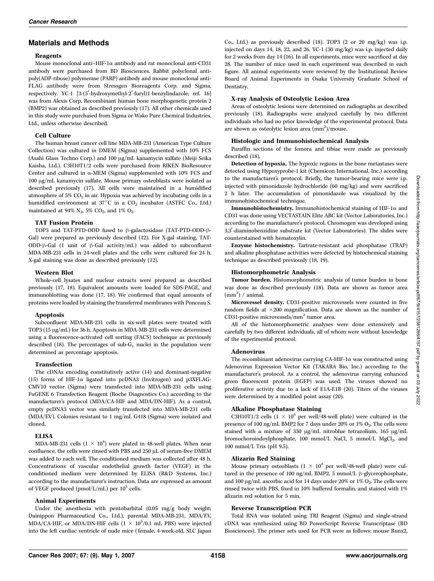# Materials and Methods

#### Reagents

Mouse monoclonal anti–HIF-1a antibody and rat monoclonal anti-CD31 antibody were purchased from BD Biosciences. Rabbit polyclonal antipoly(ADP-ribose) polymerase (PARP) antibody and mouse monoclonal anti-FLAG antibody were from Stressgen Bioreagents Corp. and Sigma, respectively. YC-1 [3-(5'-hydroxymethyl-2'-furyl)1-benzylindazole; ref. 16] was from Alexis Corp. Recombinant human bone morphogenetic protein 2 (BMP2) was obtained as described previously (17). All other chemicals used in this study were purchased from Sigma or Wako Pure Chemical Industries, Ltd., unless otherwise described.

#### Cell Culture

The human breast cancer cell line MDA-MB-231 (American Type Culture Collection) was cultured in DMEM (Sigma) supplemented with 10% FCS (Asahi Glass Techno Corp.) and 100 µg/mL kanamycin sulfate (Meiji Seika Kaisha, Ltd.). C3H10T1/2 cells were purchased from RIKEN BioResource Center and cultured in  $\alpha$ -MEM (Sigma) supplemented with 10% FCS and 100 Ag/mL kanamycin sulfate. Mouse primary osteoblasts were isolated as described previously (17). All cells were maintained in a humidified atmosphere of 5%  $CO<sub>2</sub>$  in air. Hypoxia was achieved by incubating cells in a humidified environment at  $37^{\circ}$ C in a CO<sub>2</sub> incubator (ASTEC Co., Ltd.) maintained at 94%  $N_2$ , 5%  $CO_2$ , and 1%  $O_2$ .

#### TAT Fusion Protein

TOP3 and TAT-PTD-ODD fused to  $\beta$ -galactosidase (TAT-PTD-ODD- $\beta$ -Gal) were prepared as previously described (12). For X-gal staining, TAT-ODD- $\beta$ -Gal (1 unit of  $\beta$ -Gal activity/mL) was added to subconfluent MDA-MB-231 cells in 24-well plates and the cells were cultured for 24 h. X-gal staining was done as described previously (12).

#### Western Blot

Whole-cell lysates and nuclear extracts were prepared as described previously (17, 18). Equivalent amounts were loaded for SDS-PAGE, and immunoblotting was done (17, 18). We confirmed that equal amounts of proteins were loaded by staining the transferred membranes with Ponceau S.

#### Apoptosis

Subconfluent MDA-MB-231 cells in six-well plates were treated with TOP3 (15 µg/mL) for 36 h. Apoptosis in MDA-MB-231 cells were determined using a fluorescence-activated cell sorting (FACS) technique as previously described (18). The percentages of sub- $G_1$  nuclei in the population were determined as percentage apoptosis.

#### Transfection

The cDNAs encoding constitutively active (14) and dominant-negative (15) forms of HIF-1 $\alpha$  ligated into pcDNA3 (Invitrogen) and p3XFLAG-CMV10 vector (Sigma) were transfected into MDA-MB-231 cells using FuGENE 6 Transfection Reagent (Roche Diagnostics Co.) according to the manufacturer's protocol (MDA/CA-HIF and MDA/DN-HIF). As a control, empty pcDNA3 vector was similarly transfected into MDA-MB-231 cells (MDA/EV). Colonies resistant to 1 mg/mL G418 (Sigma) were isolated and cloned.

# ELISA

MDA-MB-231 cells  $(1 \times 10^4)$  were plated in 48-well plates. When near confluence, the cells were rinsed with PBS and  $250 \mu$ L of serum-free DMEM was added to each well. The conditioned medium was collected after 48 h. Concentrations of vascular endothelial growth factor (VEGF) in the conditioned medium were determined by ELISA (R&D Systems, Inc.) according to the manufacturer's instruction. Data are expressed as amount  $% \mathcal{N}$ of VEGF produced (pmol/L/mL) per  $10^5$  cells.

#### Animal Experiments

Under the anesthesia with pentobarbital (0.05 mg/g body weight; Dainippon Pharmaceutical Co., Ltd.), parental MDA-MB-231, MDA/EV, MDA/CA-HIF, or MDA/DN-HIF cells  $(1 \times 10^5/0.1 \text{ mL PBS})$  were injected into the left cardiac ventricle of nude mice (female, 4-week-old, SLC Japan Co., Ltd.) as previously described  $(18)$ . TOP3  $(2 \text{ or } 20 \text{ mg/kg})$  was i.p. injected on days 14, 18, 22, and 26. YC-1 (30 mg/kg) was i.p. injected daily for 2 weeks from day 14 (16). In all experiments, mice were sacrificed at day 28. The number of mice used in each experiment was described in each figure. All animal experiments were reviewed by the Institutional Review Board of Animal Experiments in Osaka University Graduate School of Dentistry.

## X-ray Analysis of Osteolytic Lesion Area

Areas of osteolytic lesions were determined on radiographs as described previously (18). Radiographs were analyzed carefully by two different individuals who had no prior knowledge of the experimental protocol. Data are shown as osteolytic lesion area  $(nm^2)/$ mouse.

### Histologic and Immunohistochemical Analysis

Paraffin sections of the femora and tibiae were made as previously described (18).

Detection of hypoxia. The hypoxic regions in the bone metastases were detected using Hypoxyprobe-1 kit (Chemicon International, Inc.) according to the manufacturer's protocol. Briefly, the tumor-bearing mice were i.p. injected with pimonidazole hydrochloride (60 mg/kg) and were sacrificed 2 h later. The accumulation of pimonidazole was visualized by the immunohistochemical technique.

Immunohistochemistry. Immunohistochemical staining of HIF-1 $\alpha$  and CD31 was done using VECTASTAIN Elite ABC kit (Vector Laboratories, Inc.) according to the manufacturer's protocol. Chromogen was developed using 3,3'-diaminobenzidine substrate kit (Vector Laboratories). The slides were counterstained with hematoxylin.

Enzyme histochemistry. Tartrate-resistant acid phosphatase (TRAP) and alkaline phosphatase activities were detected by histochemical staining technique as described previously (18, 19).

## Histomorphometric Analysis

Tumor burden. Histomorphometric analysis of tumor burden in bone was done as described previously (18). Data are shown as tumor area  $(mm<sup>2</sup>)$  / animal.

Microvessel density. CD31-positive microvessels were counted in five random fields at 200 magnification. Data are shown as the number of CD31-positive microvessels/mm<sup>2</sup> tumor area.

All of the histomorphometric analyses were done extensively and carefully by two different individuals, all of whom were without knowledge of the experimental protocol.

#### Adenovirus

The recombinant adenovirus carrying CA-HIF-1 $\alpha$  was constructed using Adenovirus Expression Vector Kit (TAKARA Bio, Inc.) according to the manufacturer's protocol. As a control, the adenovirus carrying enhanced green fluorescent protein (EGFP) was used. The viruses showed no proliferative activity due to a lack of E1A-E1B (20). Titers of the viruses were determined by a modified point assay (20).

# Alkaline Phosphatase Staining

C3H10T1/2 cells  $(1 \times 10^4$  per well/48-well plate) were cultured in the presence of 100 ng/mL BMP2 for 7 days under 20% or 1%  $O_2$ . The cells were stained with a mixture of 330 µg/mL nitroblue tetrazolium, 165 µg/mL bromochoroindoylphosphate, 100 mmol/L NaCl, 5 mmol/L MgCl<sub>2</sub>, and 100 mmol/L Tris (pH 9.5).

#### Alizarin Red Staining

Mouse primary osteoblasts  $(1 \times 10^4$  per well/48-well plate) were cultured in the presence of 100 ng/mL BMP2, 5 mmol/L  $\beta$ -glycerophosphate, and 100  $\upmu\text{g/mL}$  ascorbic acid for 14 days under 20% or 1%  $\text{O}_2.$  The cells were rinsed twice with PBS, fixed in 10% buffered formalin, and stained with 1% alizarin red solution for 5 min.

#### Reverse Transcription PCR

Total RNA was isolated using TRI Reagent (Sigma) and single-strand cDNA was synthesized usingBD PowerScript Reverse Transcriptase (BD Biosciences). The primer sets used for PCR were as follows: mouse Runx2,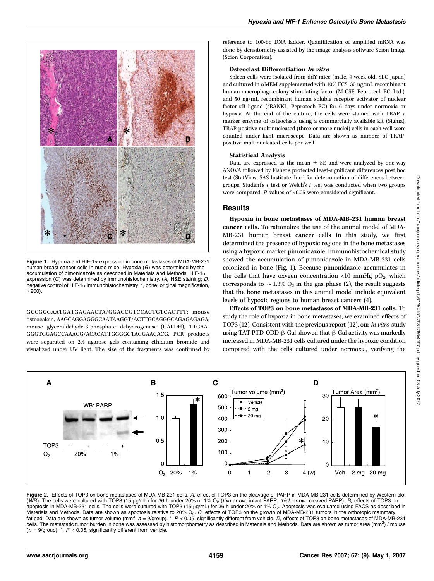



Figure 1. Hypoxia and HIF-1 $\alpha$  expression in bone metastases of MDA-MB-231 human breast cancer cells in nude mice. Hypoxia  $(B)$  was determined by the accumulation of pimonidazole as described in Materials and Methods. HIF-1 $\alpha$ expression  $(C)$  was determined by immunohistochemistry.  $(A, B \times E)$  staining: D, negative control of HIF-1 $\alpha$  immunohistochemistry;  $*$ , bone; original magnification,  $\times$ 200).

GCCGGGAATGATGAGAACTA/GGACCGTCCACTGTCACTTT; mouse osteocalcin, AAGCAGGAGGGCAATAAGGT/ACTTGCAGGGCAGAGAGAGA; mouse glyceraldehyde-3-phosphate dehydrogenase (GAPDH), TTGAA-GGGTGGAGCCAAACG/ACACATTGGGGGTAGGAACACG. PCR products were separated on 2% agarose gels containing ethidium bromide and visualized under UV light. The size of the fragments was confirmed by

reference to 100-bp DNA ladder. Quantification of amplified mRNA was done by densitometry assisted by the image analysis software Scion Image (Scion Corporation).

#### Osteoclast Differentiation In vitro

Spleen cells were isolated from ddY mice (male, 4-week-old, SLC Japan) and cultured in aMEM supplemented with 10% FCS, 30 ng/mL recombinant human macrophage colony-stimulating factor (M-CSF; Peprotech EC, Ltd.), and 50 ng/mL recombinant human soluble receptor activator of nuclear factor- $\kappa$ B ligand (sRANKL; Peprotech EC) for 6 days under normoxia or hypoxia. At the end of the culture, the cells were stained with TRAP, a marker enzyme of osteoclasts usinga commercially available kit (Sigma). TRAP-positive multinucleated (three or more nuclei) cells in each well were counted under light microscope. Data are shown as number of TRAPpositive multinucleated cells per well.

#### Statistical Analysis

Data are expressed as the mean  $\pm$  SE and were analyzed by one-way ANOVA followed by Fisher's protected least-significant differences post hoc test (StatView; SAS Institute, Inc.) for determination of differences between groups. Student's  $t$  test or Welch's  $t$  test was conducted when two groups were compared.  $P$  values of <0.05 were considered significant.

#### **Results**

Hypoxia in bone metastases of MDA-MB-231 human breast cancer cells. To rationalize the use of the animal model of MDA-MB-231 human breast cancer cells in this study, we first determined the presence of hypoxic regions in the bone metastases usinga hypoxic marker pimonidazole. Immunohistochemical study showed the accumulation of pimonidazole in MDA-MB-231 cells colonized in bone (Fig. 1). Because pimonidazole accumulates in the cells that have oxygen concentration <10 mmHg  $pO_2$ , which corresponds to  $\sim$  1.3% O<sub>2</sub> in the gas phase (2), the result suggests that the bone metastases in this animal model include equivalent levels of hypoxic regions to human breast cancers (4).

Effects of TOP3 on bone metastases of MDA-MB-231 cells. To study the role of hypoxia in bone metastases, we examined effects of TOP3 (12). Consistent with the previous report (12), our in vitro study using TAT-PTD-ODD- $\beta$ -Gal showed that  $\beta$ -Gal activity was markedly increased in MDA-MB-231 cells cultured under the hypoxic condition compared with the cells cultured under normoxia, verifying the



Figure 2. Effects of TOP3 on bone metastases of MDA-MB-231 cells. A, effect of TOP3 on the cleavage of PARP in MDA-MB-231 cells determined by Western blot (WB). The cells were cultured with TOP3 (15 µg/mL) for 36 h under 20% or 1% O<sub>2</sub> (thin arrow, intact PARP; thick arrow, cleaved PARP). B, effects of TOP3 on apoptosis in MDA-MB-231 cells. The cells were cultured with TOP3 (15  $\mu$ g/mL) for 36 h under 20% or 1% O<sub>2</sub>. Apoptosis was evaluated using FACS as described in Materials and Methods. Data are shown as apoptosis relative to 20% O<sub>2</sub>. C, effects of TOP3 on the growth of MDA-MB-231 tumors in the orthotopic mammary fat pad. Data are shown as tumor volume (mm<sup>3</sup>;  $n = 9$ /group). \*,  $P < 0.05$ , significantly different from vehicle. D, effects of TOP3 on bone metastases of MDA-MB-231 cells. The metastatic tumor burden in bone was assessed by histomorphometry as described in Materials and Methods. Data are shown as tumor area (mm<sup>2</sup>) / mouse  $(n = 9$ /group).  $\kappa$ ,  $P < 0.05$ , significantly different from vehicle.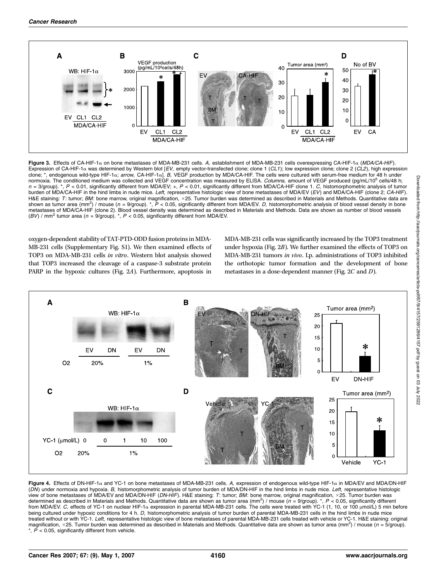

Figure 3. Effects of CA-HIF-1a on bone metastases of MDA-MB-231 cells. A, establishment of MDA-MB-231 cells overexpressing CA-HIF-1a (MDA/CA-HIF). Expression of CA-HIF-1 $\alpha$  was determined by Western blot [EV, empty vector-transfected clone; clone 1 (CL1); low expression clone; clone 2 (CL2), high expression clone; \*, endogenous wild-type HIF-1a; arrow, CA-HIF-1a]. B, VEGF production by MDA/CA-HIF. The cells were cultured with serum-free medium for 48 h under normoxia. The conditioned medium was collected and VEGF concentration was measured by ELISA. Columns, amount of VEGF produced (pg/mL/10<sup>5</sup> cells/48 h;  $n = 3$  group). \*,  $P < 0.01$ , significantly different from MDA/EV; +,  $P < 0.01$ , significantly different from MDA/CA-HIF clone 1. C, histomorphometric analysis of tumor burden of MDA/CA-HIF in the hind limbs in nude mice. Left, representative histologic view of bone metastases of MDA/EV (EV) and MDA/CA-HIF (clone 2; CA-HIF). H&E staining: T: tumor; BM: bone marrow, original magnification, ×25. Tumor burden was determined as described in Materials and Methods. Quantitative data are shown as tumor area (mm<sup>2</sup>) / mouse (n = 9/group). \*, P < 0.05, significantly different from MDA/EV. D, histomorphometric analysis of blood vessel density in bone metastases of MDA/CA-HIF (clone 2). Blood vessel density was determined as described in Materials and Methods. Data are shown as number of blood vessels (BV) / mm<sup>2</sup> tumor area ( $n = 9$ /group). \*, P < 0.05, significantly different from MDA/EV.

oxygen-dependent stability of TAT-PTD-ODD fusion proteins in MDA-MB-231 cells (Supplementary Fig. S1). We then examined effects of TOP3 on MDA-MB-231 cells in vitro. Western blot analysis showed that TOP3 increased the cleavage of a caspase-3 substrate protein PARP in the hypoxic cultures (Fig. 2A). Furthermore, apoptosis in

MDA-MB-231 cells was significantly increased by the TOP3 treatment under hypoxia (Fig. 2B). We further examined the effects of TOP3 on MDA-MB-231 tumors in vivo. I.p. administrations of TOP3 inhibited the orthotopic tumor formation and the development of bone metastases in a dose-dependent manner (Fig. 2C and D).



Figure 4. Effects of DN-HIF-1a and YC-1 on bone metastases of MDA-MB-231 cells. A, expression of endogenous wild-type HIF-1a in MDA/EV and MDA/DN-HIF (DN) under normoxia and hypoxia. B, histomorphometric analysis of tumor burden of MDA/DN-HIF in the hind limbs in nude mice. Left, representative histologic view of bone metastases of MDA/EV and MDA/DN-HIF (DN-HIF). H&E staining: T: tumor; BM: bone marrow, original magnification, ×25. Tumor burden was determined as described in Materials and Methods. Quantitative data are shown as tumor area (mm<sup>2</sup>) / mouse ( $n = 9$ /group). \*, P < 0.05, significantly different from MDA/EV. C, effects of YC-1 on nuclear HIF-1 $\alpha$  expression in parental MDA-MB-231 cells. The cells were treated with YC-1 (1, 10, or 100  $\mu$ mol/L) 5 min before being cultured under hypoxic conditions for 4 h. D, histomorphometric analysis of tumor burden of parental MDA-MB-231 cells in the hind limbs in nude mice treated without or with YC-1. Left, representative histologic view of bone metastases of parental MDA-MB-231 cells treated with vehicle or YC-1. H&E staining: original magnification, ×25. Tumor burden was determined as described in Materials and Methods. Quantitative data are shown as tumor area (mm<sup>2</sup>) / mouse (n = 5/group). \*,  $\overline{P}$  < 0.05, significantly different from vehicle.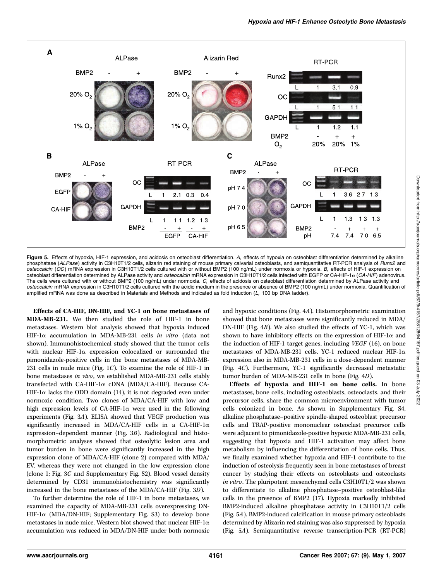

Figure 5. Effects of hypoxia, HIF-1 expression, and acidosis on osteoblast differentiation. A, effects of hypoxia on osteoblast differentiation determined by alkaline phosphatase (ALPase) activity in C3H10T1/2 cells, alizarin red staining of mouse primary calvarial osteoblasts, and semiquantitative RT-PCR analysis of Runx2 and osteocalcin (OC) mRNA expression in C3H10T1/2 cells cultured with or without BMP2 (100 ng/mL) under normoxia or hypoxia. B, effects of HIF-1 expression on osteoblast differentiation determined by ALPase activity and *osteocalcin* mRNA expression in C3H10T1/2 cells infected with EGFP or CA-HIF-1α (CA-HIF) adenovirus. The cells were cultured with or without BMP2 (100 ng/mL) under normoxia. C, effects of acidosis on osteoblast differentiation determined by ALPase activity and osteocalcin mRNA expression in C3H10T1/2 cells cultured with the acidic medium in the presence or absence of BMP2 (100 ng/mL) under normoxia. Quantification of amplified mRNA was done as described in Materials and Methods and indicated as fold induction (L, 100 bp DNA ladder).

Effects of CA-HIF, DN-HIF, and YC-1 on bone metastases of MDA-MB-231. We then studied the role of HIF-1 in bone metastases. Western blot analysis showed that hypoxia induced HIF-1a accumulation in MDA-MB-231 cells in vitro (data not shown). Immunohistochemical study showed that the tumor cells with nuclear HIF-1 $\alpha$  expression colocalized or surrounded the pimonidazole-positive cells in the bone metastases of MDA-MB-231 cells in nude mice (Fig. 1C). To examine the role of HIF-1 in bone metastases in vivo, we established MDA-MB-231 cells stably transfected with CA-HIF-1a cDNA (MDA/CA-HIF). Because CA-HIF-1 $\alpha$  lacks the ODD domain (14), it is not degraded even under normoxic condition. Two clones of MDA/CA-HIF with low and high expression levels of CA-HIF-1 $\alpha$  were used in the following experiments (Fig. 3A). ELISA showed that VEGF production was significantly increased in MDA/CA-HIF cells in a CA-HIF-1 $\alpha$ expression–dependent manner (Fig. 3B). Radiological and histomorphometric analyses showed that osteolytic lesion area and tumor burden in bone were significantly increased in the high expression clone of MDA/CA-HIF (clone 2) compared with MDA/ EV, whereas they were not changed in the low expression clone (clone 1; Fig. 3C and Supplementary Fig. S2). Blood vessel density determined by CD31 immunohistochemistry was significantly increased in the bone metastases of the MDA/CA-HIF (Fig. 3D).

To further determine the role of HIF-1 in bone metastases, we examined the capacity of MDA-MB-231 cells overexpressing DN-HIF-1 $\alpha$  (MDA/DN-HIF; Supplementary Fig. S3) to develop bone metastases in nude mice. Western blot showed that nuclear HIF-1 $\alpha$ accumulation was reduced in MDA/DN-HIF under both normoxic and hypoxic conditions (Fig. 4A). Histomorphometric examination showed that bone metastases were significantly reduced in MDA/ DN-HIF (Fig. 4B). We also studied the effects of YC-1, which was shown to have inhibitory effects on the expression of HIF-1 $\alpha$  and the induction of HIF-1 target genes, including VEGF (16), on bone metastases of MDA-MB-231 cells. YC-1 reduced nuclear HIF-1 $\alpha$ expression also in MDA-MB-231 cells in a dose-dependent manner (Fig. 4C). Furthermore, YC-1 significantly decreased metastatic tumor burden of MDA-MB-231 cells in bone (Fig. 4D).

Effects of hypoxia and HIF-1 on bone cells. In bone metastases, bone cells, including osteoblasts, osteoclasts, and their precursor cells, share the common microenvironment with tumor cells colonized in bone. As shown in Supplementary Fig. S4, alkaline phosphatase–positive spindle-shaped osteoblast precursor cells and TRAP-positive mononuclear osteoclast precursor cells were adjacent to pimonidazole-positive hypoxic MDA-MB-231 cells, suggesting that hypoxia and HIF-1 activation may affect bone metabolism by influencing the differentiation of bone cells. Thus, we finally examined whether hypoxia and HIF-1 contribute to the induction of osteolysis frequently seen in bone metastases of breast cancer by studying their effects on osteoblasts and osteoclasts in vitro. The pluripotent mesenchymal cells C3H10T1/2 was shown to differentiate to alkaline phosphatase–positive osteoblast-like cells in the presence of BMP2 (17). Hypoxia markedly inhibited BMP2-induced alkaline phosphatase activity in C3H10T1/2 cells (Fig. 5A). BMP2-induced calcification in mouse primary osteoblasts determined by Alizarin red stainingwas also suppressed by hypoxia (Fig. 5A). Semiquantitative reverse transcription-PCR (RT-PCR)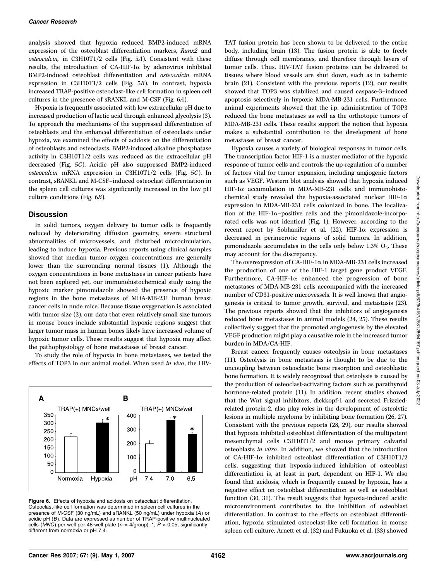analysis showed that hypoxia reduced BMP2-induced mRNA expression of the osteoblast differentiation markers, Runx2 and osteocalcin, in C3H10T1/2 cells (Fig. 5A). Consistent with these results, the introduction of CA-HIF-1 $\alpha$  by adenovirus inhibited BMP2-induced osteoblast differentiation and osteocalcin mRNA expression in C3H10T1/2 cells (Fig. 5B). In contrast, hypoxia increased TRAP-positive osteoclast-like cell formation in spleen cell cultures in the presence of sRANKL and M-CSF (Fig. 6A).

Hypoxia is frequently associated with low extracellular pH due to increased production of lactic acid through enhanced glycolysis (3). To approach the mechanisms of the suppressed differentiation of osteoblasts and the enhanced differentiation of osteoclasts under hypoxia, we examined the effects of acidosis on the differentiation of osteoblasts and osteoclasts. BMP2-induced alkaline phosphatase activity in C3H10T1/2 cells was reduced as the extracellular pH decreased (Fig. 5C). Acidic pH also suppressed BMP2-induced osteocalcin mRNA expression in C3H10T1/2 cells (Fig. 5C). In contrast, sRANKL and M-CSF–induced osteoclast differentiation in the spleen cell cultures was significantly increased in the low pH culture conditions (Fig. 6B).

#### **Discussion**

In solid tumors, oxygen delivery to tumor cells is frequently reduced by deteriorating diffusion geometry, severe structural abnormalities of microvessels, and disturbed microcirculation, leading to induce hypoxia. Previous reports using clinical samples showed that median tumor oxygen concentrations are generally lower than the surrounding normal tissues (1). Although the oxygen concentrations in bone metastases in cancer patients have not been explored yet, our immunohistochemical study using the hypoxic marker pimonidazole showed the presence of hypoxic regions in the bone metastases of MDA-MB-231 human breast cancer cells in nude mice. Because tissue oxygenation is associated with tumor size (2), our data that even relatively small size tumors in mouse bones include substantial hypoxic regions suggest that larger tumor mass in human bones likely have increased volume of hypoxic tumor cells. These results suggest that hypoxia may affect the pathophysiology of bone metastases of breast cancer.

To study the role of hypoxia in bone metastases, we tested the effects of TOP3 in our animal model. When used in vivo, the HIV-



Figure 6. Effects of hypoxia and acidosis on osteoclast differentiation. Osteoclast-like cell formation was determined in spleen cell cultures in the presence of M-CSF (30 ng/mL) and sRANKL (50 ng/mL) under hypoxia (A) or acidic pH (B). Data are expressed as number of TRAP-positive multinucleated cells (MNC) per well per 48-well plate ( $n = 4$ /group). \*,  $P < 0.05$ , significantly different from normoxia or pH 7.4.

TAT fusion protein has been shown to be delivered to the entire body, including brain (13). The fusion protein is able to freely diffuse through cell membranes, and therefore through layers of tumor cells. Thus, HIV-TAT fusion proteins can be delivered to tissues where blood vessels are shut down, such as in ischemic brain (21). Consistent with the previous reports (12), our results showed that TOP3 was stabilized and caused caspase-3–induced apoptosis selectively in hypoxic MDA-MB-231 cells. Furthermore, animal experiments showed that the i.p. administration of TOP3 reduced the bone metastases as well as the orthotopic tumors of MDA-MB-231 cells. These results support the notion that hypoxia makes a substantial contribution to the development of bone metastases of breast cancer.

Hypoxia causes a variety of biological responses in tumor cells. The transcription factor HIF-1 is a master mediator of the hypoxic response of tumor cells and controls the up-regulation of a number of factors vital for tumor expansion, including angiogenic factors such as VEGF. Western blot analysis showed that hypoxia induced HIF-1a accumulation in MDA-MB-231 cells and immunohistochemical study revealed the hypoxia-associated nuclear HIF-1 $\alpha$ expression in MDA-MB-231 cells colonized in bone. The localization of the HIF-1 $\alpha$ -positive cells and the pimonidazole-incorporated cells was not identical (Fig. 1). However, according to the recent report by Sobhanifer et al.  $(22)$ , HIF-1 $\alpha$  expression is decreased in perinecrotic regions of solid tumors. In addition, pimonidazole accumulates in the cells only below  $1.3\%$  O<sub>2</sub>. These may account for the discrepancy.

The overexpression of CA-HIF-1 $\alpha$  in MDA-MB-231 cells increased the production of one of the HIF-1 target gene product VEGF. Furthermore, CA-HIF-1 $\alpha$  enhanced the progression of bone metastases of MDA-MB-231 cells accompanied with the increased number of CD31-positive microvessels. It is well known that angiogenesis is critical to tumor growth, survival, and metastasis (23). The previous reports showed that the inhibitors of angiogenesis reduced bone metastases in animal models (24, 25). These results collectively suggest that the promoted angiogenesis by the elevated VEGF production might play a causative role in the increased tumor burden in MDA/CA-HIF.

Breast cancer frequently causes osteolysis in bone metastases (11). Osteolysis in bone metastasis is thought to be due to the uncoupling between osteoclastic bone resorption and osteoblastic bone formation. It is widely recognized that osteolysis is caused by the production of osteoclast-activating factors such as parathyroid hormone-related protein (11). In addition, recent studies showed that the Wnt signal inhibitors, dickkopf-1 and secreted Frizzledrelated protein-2, also play roles in the development of osteolytic lesions in multiple myeloma by inhibiting bone formation (26, 27). Consistent with the previous reports (28, 29), our results showed that hypoxia inhibited osteoblast differentiation of the multipotent mesenchymal cells C3H10T1/2 and mouse primary calvarial osteoblasts in vitro. In addition, we showed that the introduction of CA-HIF-1a inhibited osteoblast differentiation of C3H10T1/2 cells, suggesting that hypoxia-induced inhibition of osteoblast differentiation is, at least in part, dependent on HIF-1. We also found that acidosis, which is frequently caused by hypoxia, has a negative effect on osteoblast differentiation as well as osteoblast function (30, 31). The result suggests that hypoxia-induced acidic microenvironment contributes to the inhibition of osteoblast differentiation. In contrast to the effects on osteoblast differentiation, hypoxia stimulated osteoclast-like cell formation in mouse spleen cell culture. Arnett et al. (32) and Fukuoka et al. (33) showed